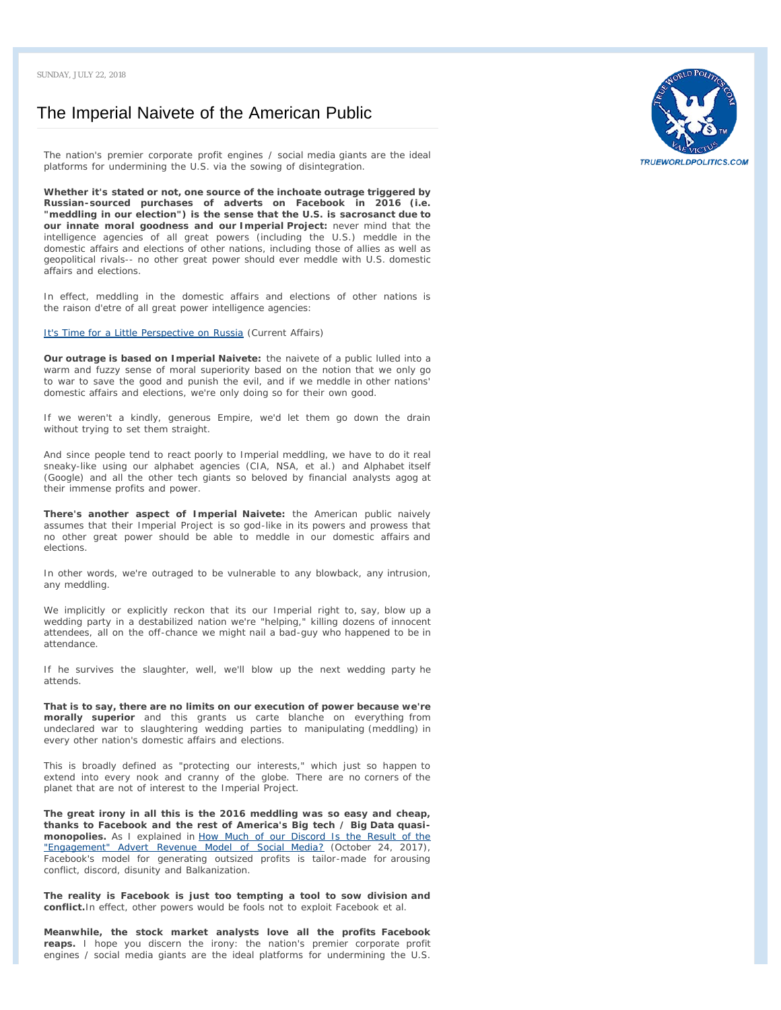## [The Imperial Naivete of the American Public](https://charleshughsmith.blogspot.com/2018/07/the-imperial-naivete-of-american-public.html)

*The nation's premier corporate profit engines / social media giants are the ideal platforms for undermining the U.S. via the sowing of disintegration.*

**Whether it's stated or not, one source of the inchoate outrage triggered by Russian-sourced purchases of adverts on Facebook in 2016 (i.e. "meddling in our election") is the sense that the U.S. is sacrosanct due to our innate moral goodness and our Imperial Project:** never mind that the intelligence agencies of all great powers (including the U.S.) meddle in the domestic affairs and elections of other nations, including those of allies as well as geopolitical rivals-- no other great power should ever meddle with U.S. domestic affairs and elections.

In effect, meddling in the domestic affairs and elections of other nations is the *raison d'etre* of all great power intelligence agencies:

[It's Time for a Little Perspective on Russia](https://www.currentaffairs.org/2018/07/its-time-for-a-little-perspective-on-russia) (Current Affairs)

**Our outrage is based on Imperial Naivete:** the naivete of a public lulled into a warm and fuzzy sense of moral superiority based on the notion that we only go to war to save the good and punish the evil, and if we meddle in other nations' domestic affairs and elections, *we're only doing so for their own good*.

If we weren't a kindly, generous Empire, we'd let them go down the drain without trying to set them straight.

And since people tend to react poorly to Imperial meddling, we have to do it real sneaky-like using our alphabet agencies (CIA, NSA, et al.) and Alphabet itself (Google) and all the other tech giants so beloved by financial analysts agog at their immense profits and power.

**There's another aspect of Imperial Naivete:** the American public naively assumes that their Imperial Project is so god-like in its powers and prowess that no other great power should be able to meddle in our domestic affairs and elections.

In other words, we're outraged to be vulnerable to any blowback, any intrusion, any meddling.

We implicitly or explicitly reckon that its our Imperial right to, say, blow up a wedding party in a destabilized nation we're "helping," killing dozens of innocent attendees, all on the off-chance we might nail a bad-guy who happened to be in attendance.

If he survives the slaughter, well, we'll blow up the next wedding party he attends.

**That is to say, there are no limits on our execution of power because we're morally superior** and this grants us carte blanche on everything from undeclared war to slaughtering wedding parties to manipulating (meddling) in every other nation's domestic affairs and elections.

This is broadly defined as "protecting our interests," which just so happen to extend into every nook and cranny of the globe. There are no corners of the planet that are not of interest to the Imperial Project.

**The great irony in all this is the 2016 meddling was so easy and cheap, thanks to Facebook and the rest of America's Big tech / Big Data quasimonopolies.** As I explained in [How Much of our Discord Is the Result of the](https://www.oftwominds.com/blogoct17/discord-social-media10-17.html) ["Engagement" Advert Revenue Model of Social Media?](https://www.oftwominds.com/blogoct17/discord-social-media10-17.html) (October 24, 2017), Facebook's model for generating outsized profits is tailor-made for arousing conflict, discord, disunity and Balkanization.

**The reality is Facebook is just too tempting a tool to sow division and conflict.**In effect, other powers would be fools not to exploit Facebook et al.

**Meanwhile, the stock market analysts love all the profits Facebook reaps.** I hope you discern the irony: the nation's premier corporate profit engines / social media giants are the ideal platforms for undermining the U.S.